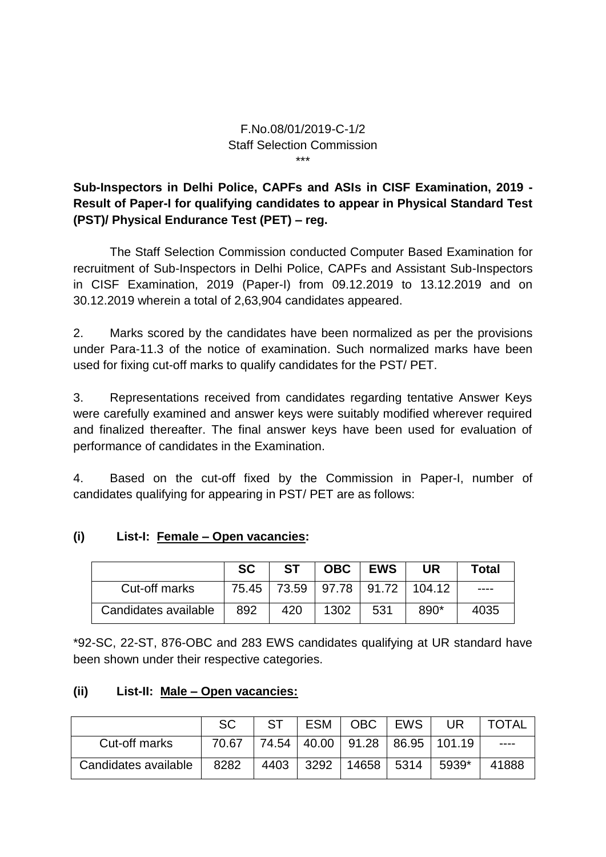#### F.No.08/01/2019-C-1/2 Staff Selection Commission \*\*\*

# **Sub-Inspectors in Delhi Police, CAPFs and ASIs in CISF Examination, 2019 - Result of Paper-I for qualifying candidates to appear in Physical Standard Test (PST)/ Physical Endurance Test (PET) – reg.**

The Staff Selection Commission conducted Computer Based Examination for recruitment of Sub-Inspectors in Delhi Police, CAPFs and Assistant Sub-Inspectors in CISF Examination, 2019 (Paper-I) from 09.12.2019 to 13.12.2019 and on 30.12.2019 wherein a total of 2,63,904 candidates appeared.

2. Marks scored by the candidates have been normalized as per the provisions under Para-11.3 of the notice of examination. Such normalized marks have been used for fixing cut-off marks to qualify candidates for the PST/ PET.

3. Representations received from candidates regarding tentative Answer Keys were carefully examined and answer keys were suitably modified wherever required and finalized thereafter. The final answer keys have been used for evaluation of performance of candidates in the Examination.

4. Based on the cut-off fixed by the Commission in Paper-I, number of candidates qualifying for appearing in PST/ PET are as follows:

## **(i) List-I: Female – Open vacancies:**

|                      | <b>SC</b> | <b>ST</b> |      | OBC   EWS | UR                                          | <b>Total</b> |
|----------------------|-----------|-----------|------|-----------|---------------------------------------------|--------------|
| Cut-off marks        | 75.45     |           |      |           | <sup>'</sup> 73.59   97.78   91.72   104.12 | ----         |
| Candidates available | 892       | 420       | 1302 | 531       | 890*                                        | 4035         |

\*92-SC, 22-ST, 876-OBC and 283 EWS candidates qualifying at UR standard have been shown under their respective categories.

### **(ii) List-II: Male – Open vacancies:**

|                      | SC    | ST.  | ESM  | OBC        | EWS | UR                                     | <b>TOTAL</b> |
|----------------------|-------|------|------|------------|-----|----------------------------------------|--------------|
| Cut-off marks        | 70.67 |      |      |            |     | 74.54   40.00   91.28   86.95   101.19 | ----         |
| Candidates available | 8282  | 4403 | 3292 | 14658 5314 |     | 5939*                                  | 41888        |